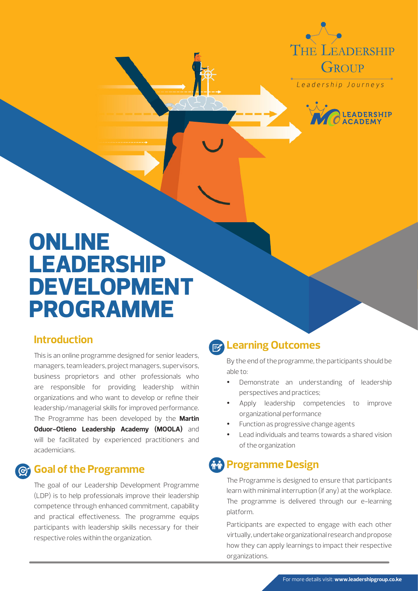

Leadership Journeys



# **ONLINE LEADERSHIP DEVELOPMENT PROGRAMME**

#### **Introduction**

This is an online programme designed for senior leaders, managers, team leaders, project managers, supervisors, business proprietors and other professionals who are responsible for providing leadership within organizations and who want to develop or refine their leadership/managerial skills for improved performance. The Programme has been developed by the **Martin Oduor-Otieno Leadership Academy (MOOLA)** and will be facilitated by experienced practitioners and academicians.

### **Goal of the Programme**

The goal of our Leadership Development Programme (LDP) is to help professionals improve their leadership competence through enhanced commitment, capability and practical effectiveness. The programme equips participants with leadership skills necessary for their respective roles within the organization.

# **Learning Outcomes**

By the end of the programme, the participants should be able to:

- Demonstrate an understanding of leadership perspectives and practices;
- Apply leadership competencies to improve organizational performance
- Function as progressive change agents
- Lead individuals and teams towards a shared vision of the organization

## *<b>AA* Programme Design

The Programme is designed to ensure that participants learn with minimal interruption (if any) at the workplace. The programme is delivered through our e-learning platform.

Participants are expected to engage with each other virtually, undertake organizational research and propose how they can apply learnings to impact their respective organizations.